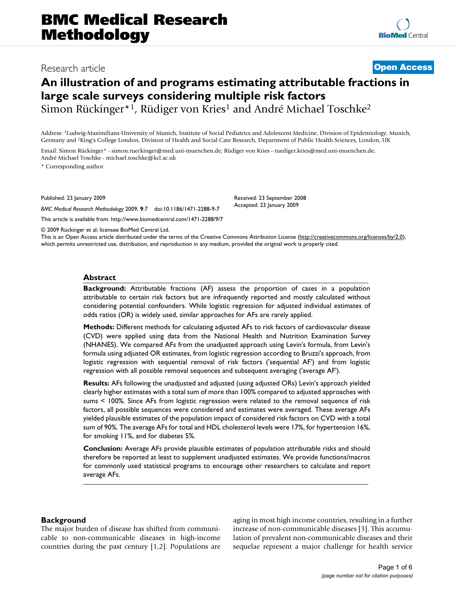# Research article **[Open Access](http://www.biomedcentral.com/info/about/charter/)**

## **An illustration of and programs estimating attributable fractions in large scale surveys considering multiple risk factors**

Simon Rückinger\*<sup>1</sup>, Rüdiger von Kries<sup>1</sup> and André Michael Toschke<sup>2</sup>

Address: 1Ludwig-Maximilians-University of Munich, Institute of Social Pediatrics and Adolescent Medicine, Division of Epidemiology, Munich, Germany and 2King's College London, Division of Health and Social Care Research, Department of Public Health Sciences, London, UK

Email: Simon Rückinger\* - simon.rueckinger@med.uni-muenchen.de; Rüdiger von Kries - ruediger.kries@med.uni-muenchen.de; André Michael Toschke - michael.toschke@kcl.ac.uk

\* Corresponding author

Published: 23 January 2009

*BMC Medical Research Methodology* 2009, **9**:7 doi:10.1186/1471-2288-9-7

[This article is available from: http://www.biomedcentral.com/1471-2288/9/7](http://www.biomedcentral.com/1471-2288/9/7)

© 2009 Rückinger et al; licensee BioMed Central Ltd.

This is an Open Access article distributed under the terms of the Creative Commons Attribution License [\(http://creativecommons.org/licenses/by/2.0\)](http://creativecommons.org/licenses/by/2.0), which permits unrestricted use, distribution, and reproduction in any medium, provided the original work is properly cited.

Received: 23 September 2008 Accepted: 23 January 2009

#### **Abstract**

**Background:** Attributable fractions (AF) assess the proportion of cases in a population attributable to certain risk factors but are infrequently reported and mostly calculated without considering potential confounders. While logistic regression for adjusted individual estimates of odds ratios (OR) is widely used, similar approaches for AFs are rarely applied.

**Methods:** Different methods for calculating adjusted AFs to risk factors of cardiovascular disease (CVD) were applied using data from the National Health and Nutrition Examination Survey (NHANES). We compared AFs from the unadjusted approach using Levin's formula, from Levin's formula using adjusted OR estimates, from logistic regression according to Bruzzi's approach, from logistic regression with sequential removal of risk factors ('sequential AF') and from logistic regression with all possible removal sequences and subsequent averaging ('average AF').

**Results:** AFs following the unadjusted and adjusted (using adjusted ORs) Levin's approach yielded clearly higher estimates with a total sum of more than 100% compared to adjusted approaches with sums < 100%. Since AFs from logistic regression were related to the removal sequence of risk factors, all possible sequences were considered and estimates were averaged. These average AFs yielded plausible estimates of the population impact of considered risk factors on CVD with a total sum of 90%. The average AFs for total and HDL cholesterol levels were 17%, for hypertension 16%, for smoking 11%, and for diabetes 5%.

**Conclusion:** Average AFs provide plausible estimates of population attributable risks and should therefore be reported at least to supplement unadjusted estimates. We provide functions/macros for commonly used statistical programs to encourage other researchers to calculate and report average AFs.

#### **Background**

The major burden of disease has shifted from communicable to non-communicable diseases in high-income countries during the past century [[1](#page-5-0),[2](#page-5-1)]. Populations are aging in most high income countries, resulting in a further increase of non-communicable diseases [[3](#page-5-2)]. This accumulation of prevalent non-communicable diseases and their sequelae represent a major challenge for health service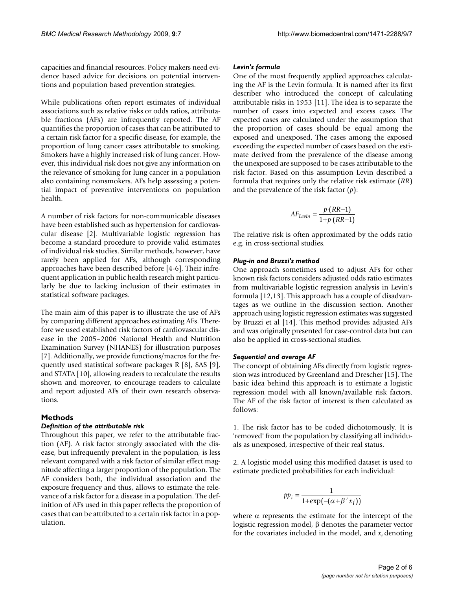capacities and financial resources. Policy makers need evidence based advice for decisions on potential interventions and population based prevention strategies.

While publications often report estimates of individual associations such as relative risks or odds ratios, attributable fractions (AFs) are infrequently reported. The AF quantifies the proportion of cases that can be attributed to a certain risk factor for a specific disease, for example, the proportion of lung cancer cases attributable to smoking. Smokers have a highly increased risk of lung cancer. However, this individual risk does not give any information on the relevance of smoking for lung cancer in a population also containing nonsmokers. AFs help assessing a potential impact of preventive interventions on population health.

A number of risk factors for non-communicable diseases have been established such as hypertension for cardiovascular disease [[2](#page-5-1)]. Multivariable logistic regression has become a standard procedure to provide valid estimates of individual risk studies. Similar methods, however, have rarely been applied for AFs, although corresponding approaches have been described before [\[4-](#page-5-3)[6](#page-5-4)]. Their infrequent application in public health research might particularly be due to lacking inclusion of their estimates in statistical software packages.

The main aim of this paper is to illustrate the use of AFs by comparing different approaches estimating AFs. Therefore we used established risk factors of cardiovascular disease in the 2005–2006 National Health and Nutrition Examination Survey (NHANES) for illustration purposes [[7\]](#page-5-5). Additionally, we provide functions/macros for the frequently used statistical software packages R [\[8\]](#page-5-6), SAS [[9](#page-5-7)], and STATA [\[10](#page-5-8)], allowing readers to recalculate the results shown and moreover, to encourage readers to calculate and report adjusted AFs of their own research observations.

#### **Methods**

#### *Definition of the attributable risk*

Throughout this paper, we refer to the attributable fraction (AF). A risk factor strongly associated with the disease, but infrequently prevalent in the population, is less relevant compared with a risk factor of similar effect magnitude affecting a larger proportion of the population. The AF considers both, the individual association and the exposure frequency and thus, allows to estimate the relevance of a risk factor for a disease in a population. The definition of AFs used in this paper reflects the proportion of cases that can be attributed to a certain risk factor in a population.

#### *Levin's formula*

One of the most frequently applied approaches calculating the AF is the Levin formula. It is named after its first describer who introduced the concept of calculating attributable risks in 1953 [\[11](#page-5-9)]. The idea is to separate the number of cases into expected and excess cases. The expected cases are calculated under the assumption that the proportion of cases should be equal among the exposed and unexposed. The cases among the exposed exceeding the expected number of cases based on the estimate derived from the prevalence of the disease among the unexposed are supposed to be cases attributable to the risk factor. Based on this assumption Levin described a formula that requires only the relative risk estimate (*RR*) and the prevalence of the risk factor (*p*):

$$
AF_{Levin} = \frac{p \cdot (RR - 1)}{1 + p \cdot (RR - 1)}
$$

The relative risk is often approximated by the odds ratio e.g. in cross-sectional studies.

#### *Plug-in and Bruzzi's method*

One approach sometimes used to adjust AFs for other known risk factors considers adjusted odds ratio estimates from multivariable logistic regression analysis in Levin's formula [[12,](#page-5-10)[13](#page-5-11)]. This approach has a couple of disadvantages as we outline in the discussion section. Another approach using logistic regression estimates was suggested by Bruzzi et al [[14](#page-5-12)]. This method provides adjusted AFs and was originally presented for case-control data but can also be applied in cross-sectional studies.

#### *Sequential and average AF*

The concept of obtaining AFs directly from logistic regression was introduced by Greenland and Drescher [[15](#page-5-13)]. The basic idea behind this approach is to estimate a logistic regression model with all known/available risk factors. The AF of the risk factor of interest is then calculated as follows:

1. The risk factor has to be coded dichotomously. It is 'removed' from the population by classifying all individuals as unexposed, irrespective of their real status.

2. A logistic model using this modified dataset is used to estimate predicted probabilities for each individual:

$$
pp_i = \frac{1}{1 + \exp(-(\alpha + \beta' x_i))}
$$

where  $\alpha$  represents the estimate for the intercept of the logistic regression model, β denotes the parameter vector for the covariates included in the model, and *xi* denoting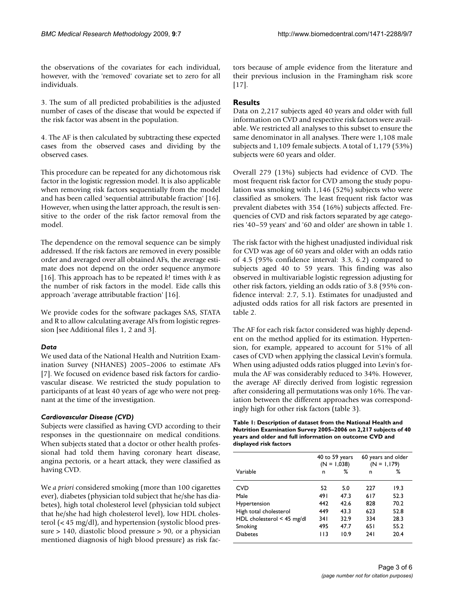the observations of the covariates for each individual, however, with the 'removed' covariate set to zero for all individuals.

3. The sum of all predicted probabilities is the adjusted number of cases of the disease that would be expected if the risk factor was absent in the population.

4. The AF is then calculated by subtracting these expected cases from the observed cases and dividing by the observed cases.

This procedure can be repeated for any dichotomous risk factor in the logistic regression model. It is also applicable when removing risk factors sequentially from the model and has been called 'sequential attributable fraction' [\[16](#page-5-14)]. However, when using the latter approach, the result is sensitive to the order of the risk factor removal from the model.

The dependence on the removal sequence can be simply addressed. If the risk factors are removed in every possible order and averaged over all obtained AFs, the average estimate does not depend on the order sequence anymore [[16](#page-5-14)]. This approach has to be repeated *k*! times with *k* as the number of risk factors in the model. Eide calls this approach 'average attributable fraction' [\[16](#page-5-14)].

We provide codes for the software packages SAS, STATA and R to allow calculating average AFs from logistic regression [see Additional files [1](#page-5-15), [2](#page-5-16) and [3](#page-5-17)].

#### *Data*

We used data of the National Health and Nutrition Examination Survey (NHANES) 2005–2006 to estimate AFs [[7\]](#page-5-5). We focused on evidence based risk factors for cardiovascular disease. We restricted the study population to participants of at least 40 years of age who were not pregnant at the time of the investigation.

#### *Cardiovascular Disease (CVD)*

Subjects were classified as having CVD according to their responses in the questionnaire on medical conditions. When subjects stated that a doctor or other health professional had told them having coronary heart disease, angina pectoris, or a heart attack, they were classified as having CVD.

We *a priori* considered smoking (more than 100 cigarettes ever), diabetes (physician told subject that he/she has diabetes), high total cholesterol level (physician told subject that he/she had high cholesterol level), low HDL cholesterol (< 45 mg/dl), and hypertension (systolic blood pressure > 140, diastolic blood pressure > 90, or a physician mentioned diagnosis of high blood pressure) as risk factors because of ample evidence from the literature and their previous inclusion in the Framingham risk score [[17](#page-5-18)].

#### **Results**

Data on 2,217 subjects aged 40 years and older with full information on CVD and respective risk factors were available. We restricted all analyses to this subset to ensure the same denominator in all analyses. There were 1,108 male subjects and 1,109 female subjects. A total of 1,179 (53%) subjects were 60 years and older.

Overall 279 (13%) subjects had evidence of CVD. The most frequent risk factor for CVD among the study population was smoking with 1,146 (52%) subjects who were classified as smokers. The least frequent risk factor was prevalent diabetes with 354 (16%) subjects affected. Frequencies of CVD and risk factors separated by age categories '40–59 years' and '60 and older' are shown in table [1.](#page-2-0)

The risk factor with the highest unadjusted individual risk for CVD was age of 60 years and older with an odds ratio of 4.5 (95% confidence interval: 3.3, 6.2) compared to subjects aged 40 to 59 years. This finding was also observed in multivariable logistic regression adjusting for other risk factors, yielding an odds ratio of 3.8 (95% confidence interval: 2.7, 5.1). Estimates for unadjusted and adjusted odds ratios for all risk factors are presented in table [2.](#page-3-0)

The AF for each risk factor considered was highly dependent on the method applied for its estimation. Hypertension, for example, appeared to account for 51% of all cases of CVD when applying the classical Levin's formula. When using adjusted odds ratios plugged into Levin's formula the AF was considerably reduced to 34%. However, the average AF directly derived from logistic regression after considering all permutations was only 16%. The variation between the different approaches was correspondingly high for other risk factors (table [3](#page-3-1)).

<span id="page-2-0"></span>**Table 1: Description of dataset from the National Health and Nutrition Examination Survey 2005–2006 on 2,217 subjects of 40 years and older and full information on outcome CVD and displayed risk factors**

|                              | 40 to 59 years<br>$(N = 1,038)$ |      | 60 years and older<br>$(N = 1,179)$ |      |
|------------------------------|---------------------------------|------|-------------------------------------|------|
| Variable                     | n                               | ℅    | n                                   | ℅    |
| <b>CVD</b>                   | 52                              | 5.0  | 227                                 | 19.3 |
| Male                         | 491                             | 47.3 | 617                                 | 52.3 |
| <b>Hypertension</b>          | 442                             | 42.6 | 828                                 | 70.2 |
| High total cholesterol       | 449                             | 43.3 | 623                                 | 52.8 |
| HDL cholesterol $<$ 45 mg/dl | 34 I                            | 32.9 | 334                                 | 28.3 |
| Smoking                      | 495                             | 47.7 | 65 I                                | 55.2 |
| <b>Diabetes</b>              | 113                             | 10.9 | <b>241</b>                          | 20.4 |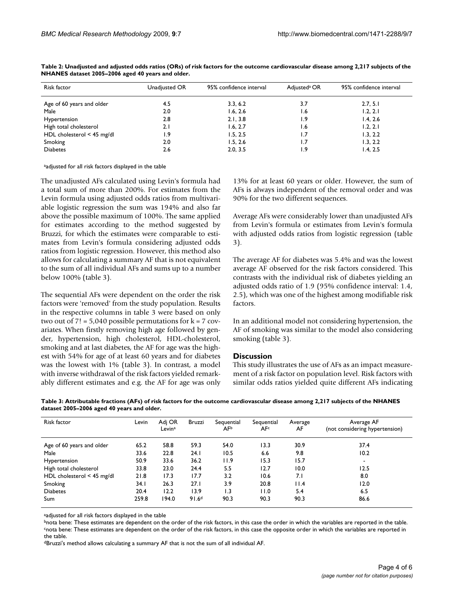| Risk factor                  | Unadjusted OR | 95% confidence interval | Adjusted <sup>a</sup> OR | 95% confidence interval |  |
|------------------------------|---------------|-------------------------|--------------------------|-------------------------|--|
| Age of 60 years and older    | 4.5           | 3.3, 6.2                | 3.7                      | 2.7, 5.1                |  |
| Male                         | 2.0           | 1.6, 2.6                | 1.6                      | 1.2, 2.1                |  |
| Hypertension                 | 2.8           | 2.1, 3.8                | ۱.9                      | 1.4, 2.6                |  |
| High total cholesterol       | 2.1           | 1.6, 2.7                | 1.6                      | 1.2, 2.1                |  |
| HDL cholesterol $<$ 45 mg/dl | 1.9           | 1.5, 2.5                | ۱.7                      | 1.3, 2.2                |  |
| Smoking                      | 2.0           | 1.5, 2.6                | 1.7                      | 1.3, 2.2                |  |
| <b>Diabetes</b>              | 2.6           | 2.0, 3.5                | ۱.9                      | 1.4, 2.5                |  |

<span id="page-3-0"></span>**Table 2: Unadjusted and adjusted odds ratios (ORs) of risk factors for the outcome cardiovascular disease among 2,217 subjects of the NHANES dataset 2005–2006 aged 40 years and older.**

aadjusted for all risk factors displayed in the table

The unadjusted AFs calculated using Levin's formula had a total sum of more than 200%. For estimates from the Levin formula using adjusted odds ratios from multivariable logistic regression the sum was 194% and also far above the possible maximum of 100%. The same applied for estimates according to the method suggested by Bruzzi, for which the estimates were comparable to estimates from Levin's formula considering adjusted odds ratios from logistic regression. However, this method also allows for calculating a summary AF that is not equivalent to the sum of all individual AFs and sums up to a number below 100% (table [3](#page-3-1)).

The sequential AFs were dependent on the order the risk factors were 'removed' from the study population. Results in the respective columns in table [3](#page-3-1) were based on only two out of  $7! = 5,040$  possible permutations for  $k = 7$  covariates. When firstly removing high age followed by gender, hypertension, high cholesterol, HDL-cholesterol, smoking and at last diabetes, the AF for age was the highest with 54% for age of at least 60 years and for diabetes was the lowest with 1% (table [3](#page-3-1)). In contrast, a model with inverse withdrawal of the risk factors yielded remarkably different estimates and e.g. the AF for age was only

13% for at least 60 years or older. However, the sum of AFs is always independent of the removal order and was 90% for the two different sequences.

Average AFs were considerably lower than unadjusted AFs from Levin's formula or estimates from Levin's formula with adjusted odds ratios from logistic regression (table [3](#page-3-1)).

The average AF for diabetes was 5.4% and was the lowest average AF observed for the risk factors considered. This contrasts with the individual risk of diabetes yielding an adjusted odds ratio of 1.9 (95% confidence interval: 1.4, 2.5), which was one of the highest among modifiable risk factors.

In an additional model not considering hypertension, the AF of smoking was similar to the model also considering smoking (table [3\)](#page-3-1).

#### **Discussion**

This study illustrates the use of AFs as an impact measurement of a risk factor on population level. Risk factors with similar odds ratios yielded quite different AFs indicating

<span id="page-3-1"></span>

| Table 3: Attributable fractions (AFs) of risk factors for the outcome cardiovascular disease among 2,217 subjects of the NHANES |  |
|---------------------------------------------------------------------------------------------------------------------------------|--|
| dataset 2005–2006 aged 40 years and older.                                                                                      |  |

| Risk factor                  | Levin | Adj OR<br>Levin <sup>a</sup> | Bruzzi            | Sequential<br>AFb | Sequential<br>AFc | Average<br>AF | Average AF<br>(not considering hypertension) |
|------------------------------|-------|------------------------------|-------------------|-------------------|-------------------|---------------|----------------------------------------------|
| Age of 60 years and older    | 65.2  | 58.8                         | 59.3              | 54.0              | 13.3              | 30.9          | 37.4                                         |
| Male                         | 33.6  | 22.8                         | 24.1              | 10.5              | 6.6               | 9.8           | 10.2                                         |
| Hypertension                 | 50.9  | 33.6                         | 36.2              | 11.9              | 15.3              | 15.7          |                                              |
| High total cholesterol       | 33.8  | 23.0                         | 24.4              | 5.5               | 12.7              | 10.0          | 12.5                                         |
| HDL cholesterol $<$ 45 mg/dl | 21.8  | 17.3                         | 17.7              | 3.2               | 10.6              | 7.I           | 8.0                                          |
| Smoking                      | 34. I | 26.3                         | 27.1              | 3.9               | 20.8              | 11.4          | 12.0                                         |
| <b>Diabetes</b>              | 20.4  | 12.2                         | 13.9              | 1.3               | 11.0              | 5.4           | 6.5                                          |
| <b>Sum</b>                   | 259.8 | 194.0                        | 91.6 <sup>d</sup> | 90.3              | 90.3              | 90.3          | 86.6                                         |

aadjusted for all risk factors displayed in the table

bnota bene: These estimates are dependent on the order of the risk factors, in this case the order in which the variables are reported in the table. cnota bene: These estimates are dependent on the order of the risk factors, in this case the opposite order in which the variables are reported in the table.

dBruzzi's method allows calculating a summary AF that is not the sum of all individual AF.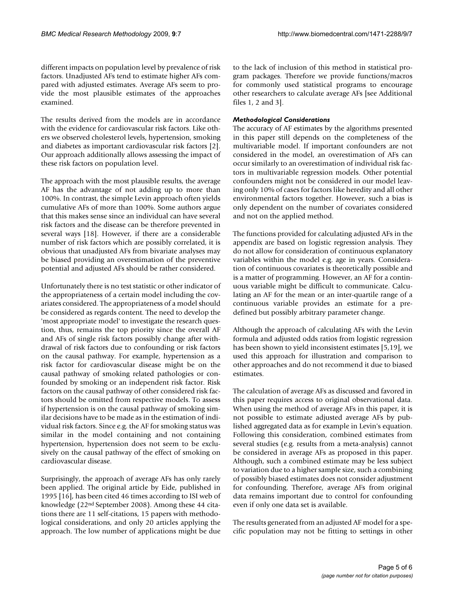different impacts on population level by prevalence of risk factors. Unadjusted AFs tend to estimate higher AFs compared with adjusted estimates. Average AFs seem to provide the most plausible estimates of the approaches examined.

The results derived from the models are in accordance with the evidence for cardiovascular risk factors. Like others we observed cholesterol levels, hypertension, smoking and diabetes as important cardiovascular risk factors [[2](#page-5-1)]. Our approach additionally allows assessing the impact of these risk factors on population level.

The approach with the most plausible results, the average AF has the advantage of not adding up to more than 100%. In contrast, the simple Levin approach often yields cumulative AFs of more than 100%. Some authors argue that this makes sense since an individual can have several risk factors and the disease can be therefore prevented in several ways [[18\]](#page-5-19). However, if there are a considerable number of risk factors which are possibly correlated, it is obvious that unadjusted AFs from bivariate analyses may be biased providing an overestimation of the preventive potential and adjusted AFs should be rather considered.

Unfortunately there is no test statistic or other indicator of the appropriateness of a certain model including the covariates considered. The appropriateness of a model should be considered as regards content. The need to develop the 'most appropriate model' to investigate the research question, thus, remains the top priority since the overall AF and AFs of single risk factors possibly change after withdrawal of risk factors due to confounding or risk factors on the causal pathway. For example, hypertension as a risk factor for cardiovascular disease might be on the causal pathway of smoking related pathologies or confounded by smoking or an independent risk factor. Risk factors on the causal pathway of other considered risk factors should be omitted from respective models. To assess if hypertension is on the causal pathway of smoking similar decisions have to be made as in the estimation of individual risk factors. Since e.g. the AF for smoking status was similar in the model containing and not containing hypertension, hypertension does not seem to be exclusively on the causal pathway of the effect of smoking on cardiovascular disease.

Surprisingly, the approach of average AFs has only rarely been applied. The original article by Eide, published in 1995 [\[16](#page-5-14)], has been cited 46 times according to ISI web of knowledge (22nd September 2008). Among these 44 citations there are 11 self-citations, 15 papers with methodological considerations, and only 20 articles applying the approach. The low number of applications might be due to the lack of inclusion of this method in statistical program packages. Therefore we provide functions/macros for commonly used statistical programs to encourage other researchers to calculate average AFs [see Additional files [1](#page-5-15), [2](#page-5-16) and [3](#page-5-17)].

#### *Methodological Considerations*

The accuracy of AF estimates by the algorithms presented in this paper still depends on the completeness of the multivariable model. If important confounders are not considered in the model, an overestimation of AFs can occur similarly to an overestimation of individual risk factors in multivariable regression models. Other potential confounders might not be considered in our model leaving only 10% of cases for factors like heredity and all other environmental factors together. However, such a bias is only dependent on the number of covariates considered and not on the applied method.

The functions provided for calculating adjusted AFs in the appendix are based on logistic regression analysis. They do not allow for consideration of continuous explanatory variables within the model e.g. age in years. Consideration of continuous covariates is theoretically possible and is a matter of programming. However, an AF for a continuous variable might be difficult to communicate. Calculating an AF for the mean or an inter-quartile range of a continuous variable provides an estimate for a predefined but possibly arbitrary parameter change.

Although the approach of calculating AFs with the Levin formula and adjusted odds ratios from logistic regression has been shown to yield inconsistent estimates [\[5,](#page-5-20)[19](#page-5-21)], we used this approach for illustration and comparison to other approaches and do not recommend it due to biased estimates.

The calculation of average AFs as discussed and favored in this paper requires access to original observational data. When using the method of average AFs in this paper, it is not possible to estimate adjusted average AFs by published aggregated data as for example in Levin's equation. Following this consideration, combined estimates from several studies (e.g. results from a meta-analysis) cannot be considered in average AFs as proposed in this paper. Although, such a combined estimate may be less subject to variation due to a higher sample size, such a combining of possibly biased estimates does not consider adjustment for confounding. Therefore, average AFs from original data remains important due to control for confounding even if only one data set is available.

The results generated from an adjusted AF model for a specific population may not be fitting to settings in other